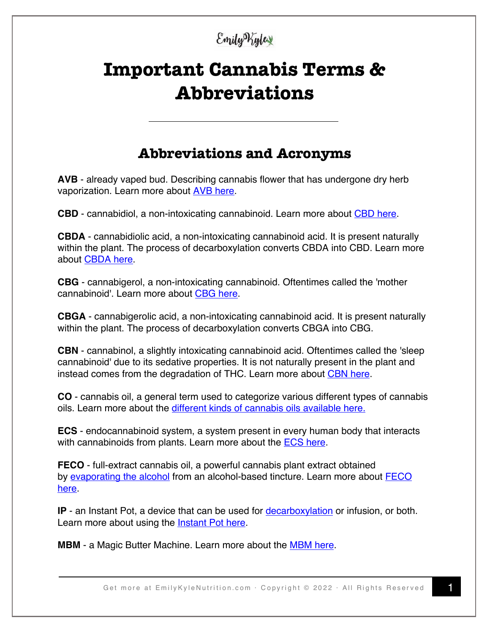### Emily Vigles

# **Important Cannabis Terms & Abbreviations**

### **Abbreviations and Acronyms**

**AVB** - already vaped bud. Describing cannabis flower that has undergone dry herb vaporization. Learn more about AVB here.

**CBD** - cannabidiol, a non-intoxicating cannabinoid. Learn more about **CBD** here.

**CBDA** - cannabidiolic acid, a non-intoxicating cannabinoid acid. It is present naturally within the plant. The process of decarboxylation converts CBDA into CBD. Learn more about CBDA here.

**CBG** - cannabigerol, a non-intoxicating cannabinoid. Oftentimes called the 'mother cannabinoid'. Learn more about CBG here.

**CBGA** - cannabigerolic acid, a non-intoxicating cannabinoid acid. It is present naturally within the plant. The process of decarboxylation converts CBGA into CBG.

**CBN** - cannabinol, a slightly intoxicating cannabinoid acid. Oftentimes called the 'sleep cannabinoid' due to its sedative properties. It is not naturally present in the plant and instead comes from the degradation of THC. Learn more about CBN here.

**CO** - cannabis oil, a general term used to categorize various different types of cannabis oils. Learn more about the different kinds of cannabis oils available here.

**ECS** - endocannabinoid system, a system present in every human body that interacts with cannabinoids from plants. Learn more about the **ECS here.** 

**FECO** - full-extract cannabis oil, a powerful cannabis plant extract obtained by evaporating the alcohol from an alcohol-based tincture. Learn more about FECO here.

**IP** - an Instant Pot, a device that can be used for **decarboxylation** or infusion, or both. Learn more about using the **Instant Pot here**.

**MBM** - a Magic Butter Machine. Learn more about the MBM here.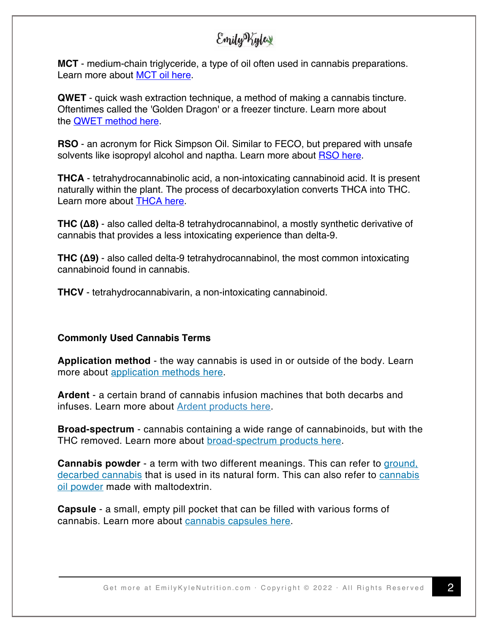### Emily Kylex

**MCT** - medium-chain triglyceride, a type of oil often used in cannabis preparations. Learn more about MCT oil here.

**QWET** - quick wash extraction technique, a method of making a cannabis tincture. Oftentimes called the 'Golden Dragon' or a freezer tincture. Learn more about the QWET method here.

**RSO** - an acronym for Rick Simpson Oil. Similar to FECO, but prepared with unsafe solvents like isopropyl alcohol and naptha. Learn more about RSO here.

**THCA** - tetrahydrocannabinolic acid, a non-intoxicating cannabinoid acid. It is present naturally within the plant. The process of decarboxylation converts THCA into THC. Learn more about THCA here.

**THC (Δ8)** - also called delta-8 tetrahydrocannabinol, a mostly synthetic derivative of cannabis that provides a less intoxicating experience than delta-9.

**THC (Δ9)** - also called delta-9 tetrahydrocannabinol, the most common intoxicating cannabinoid found in cannabis.

**THCV** - tetrahydrocannabivarin, a non-intoxicating cannabinoid.

#### **Commonly Used Cannabis Terms**

**Application method** - the way cannabis is used in or outside of the body. Learn more about application methods here.

**Ardent** - a certain brand of cannabis infusion machines that both decarbs and infuses. Learn more about Ardent products here.

**Broad-spectrum** - cannabis containing a wide range of cannabinoids, but with the THC removed. Learn more about broad-spectrum products here.

**Cannabis powder** - a term with two different meanings. This can refer to ground, decarbed cannabis that is used in its natural form. This can also refer to cannabis oil powder made with maltodextrin.

**Capsule** - a small, empty pill pocket that can be filled with various forms of cannabis. Learn more about cannabis capsules here.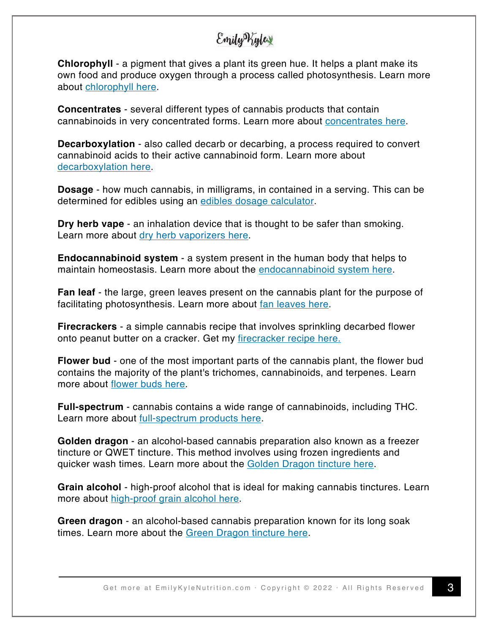## Emily Vigles

**Chlorophyll** - a pigment that gives a plant its green hue. It helps a plant make its own food and produce oxygen through a process called photosynthesis. Learn more about chlorophyll here.

**Concentrates** - several different types of cannabis products that contain cannabinoids in very concentrated forms. Learn more about concentrates here.

**Decarboxylation** - also called decarb or decarbing, a process required to convert cannabinoid acids to their active cannabinoid form. Learn more about decarboxylation here.

**Dosage** - how much cannabis, in milligrams, in contained in a serving. This can be determined for edibles using an edibles dosage calculator.

**Dry herb vape** - an inhalation device that is thought to be safer than smoking. Learn more about dry herb vaporizers here.

**Endocannabinoid system** - a system present in the human body that helps to maintain homeostasis. Learn more about the endocannabinoid system here.

**Fan leaf** - the large, green leaves present on the cannabis plant for the purpose of facilitating photosynthesis. Learn more about fan leaves here.

**Firecrackers** - a simple cannabis recipe that involves sprinkling decarbed flower onto peanut butter on a cracker. Get my firecracker recipe here.

**Flower bud** - one of the most important parts of the cannabis plant, the flower bud contains the majority of the plant's trichomes, cannabinoids, and terpenes. Learn more about flower buds here.

**Full-spectrum** - cannabis contains a wide range of cannabinoids, including THC. Learn more about full-spectrum products here.

**Golden dragon** - an alcohol-based cannabis preparation also known as a freezer tincture or QWET tincture. This method involves using frozen ingredients and quicker wash times. Learn more about the Golden Dragon tincture here.

**Grain alcohol** - high-proof alcohol that is ideal for making cannabis tinctures. Learn more about high-proof grain alcohol here.

**Green dragon** - an alcohol-based cannabis preparation known for its long soak times. Learn more about the Green Dragon tincture here.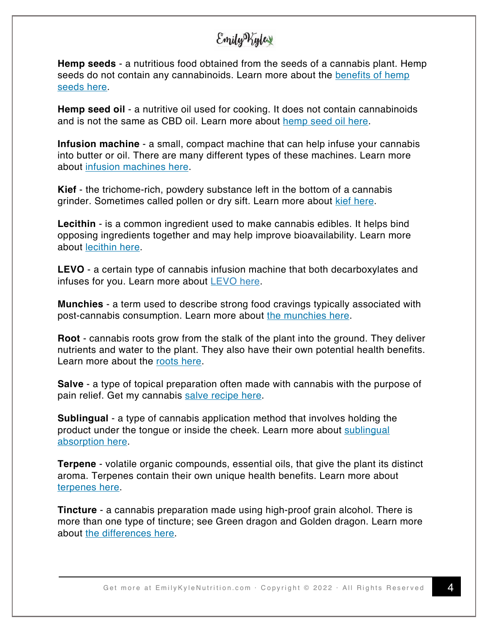### Emily Kylex

**Hemp seeds** - a nutritious food obtained from the seeds of a cannabis plant. Hemp seeds do not contain any cannabinoids. Learn more about the benefits of hemp seeds here.

**Hemp seed oil** - a nutritive oil used for cooking. It does not contain cannabinoids and is not the same as CBD oil. Learn more about hemp seed oil here.

**Infusion machine** - a small, compact machine that can help infuse your cannabis into butter or oil. There are many different types of these machines. Learn more about infusion machines here.

**Kief** - the trichome-rich, powdery substance left in the bottom of a cannabis grinder. Sometimes called pollen or dry sift. Learn more about kief here.

**Lecithin** - is a common ingredient used to make cannabis edibles. It helps bind opposing ingredients together and may help improve bioavailability. Learn more about lecithin here.

**LEVO** - a certain type of cannabis infusion machine that both decarboxylates and infuses for you. Learn more about  $LEVO$  here.

**Munchies** - a term used to describe strong food cravings typically associated with post-cannabis consumption. Learn more about the munchies here.

**Root** - cannabis roots grow from the stalk of the plant into the ground. They deliver nutrients and water to the plant. They also have their own potential health benefits. Learn more about the roots here.

**Salve** - a type of topical preparation often made with cannabis with the purpose of pain relief. Get my cannabis salve recipe here.

**Sublingual** - a type of cannabis application method that involves holding the product under the tongue or inside the cheek. Learn more about sublingual absorption here.

**Terpene** - volatile organic compounds, essential oils, that give the plant its distinct aroma. Terpenes contain their own unique health benefits. Learn more about terpenes here.

**Tincture** - a cannabis preparation made using high-proof grain alcohol. There is more than one type of tincture; see Green dragon and Golden dragon. Learn more about the differences here.